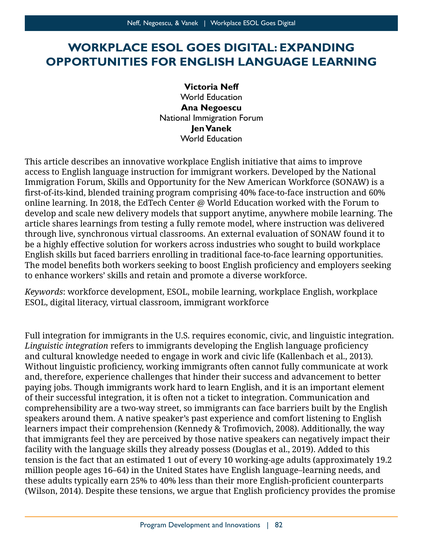# **WORKPLACE ESOL GOES DIGITAL: EXPANDING OPPORTUNITIES FOR ENGLISH LANGUAGE LEARNING**

**Victoria Neff**  World Education **Ana Negoescu**  National Immigration Forum **Jen Vanek** World Education

 first-of-its-kind, blended training program comprising 40% face-to-face instruction and 60% through live, synchronous virtual classrooms. An external evaluation of SONAW found it to The model benefits both workers seeking to boost English proficiency and employers seeking This article describes an innovative workplace English initiative that aims to improve access to English language instruction for immigrant workers. Developed by the National Immigration Forum, Skills and Opportunity for the New American Workforce (SONAW) is a online learning. In 2018, the EdTech Center @ World Education worked with the Forum to develop and scale new delivery models that support anytime, anywhere mobile learning. The article shares learnings from testing a fully remote model, where instruction was delivered be a highly effective solution for workers across industries who sought to build workplace English skills but faced barriers enrolling in traditional face-to-face learning opportunities. to enhance workers' skills and retain and promote a diverse workforce.

*Keywords*: workforce development, ESOL, mobile learning, workplace English, workplace ESOL, digital literacy, virtual classroom, immigrant workforce

 *Linguistic integration* refers to immigrants developing the English language proficiency Without linguistic proficiency, working immigrants often cannot fully communicate at work and, therefore, experience challenges that hinder their success and advancement to better speakers around them. A native speaker's past experience and comfort listening to English learners impact their comprehension (Kennedy & Trofimovich, 2008). Additionally, the way tension is the fact that an estimated 1 out of every 10 working-age adults (approximately 19.2 these adults typically earn 25% to 40% less than their more English-proficient counterparts (Wilson, 2014). Despite these tensions, we argue that English proficiency provides the promiseFull integration for immigrants in the U.S. requires economic, civic, and linguistic integration. and cultural knowledge needed to engage in work and civic life (Kallenbach et al., 2013). paying jobs. Though immigrants work hard to learn English, and it is an important element of their successful integration, it is often not a ticket to integration. Communication and comprehensibility are a two-way street, so immigrants can face barriers built by the English that immigrants feel they are perceived by those native speakers can negatively impact their facility with the language skills they already possess (Douglas et al., 2019). Added to this million people ages 16–64) in the United States have English language–learning needs, and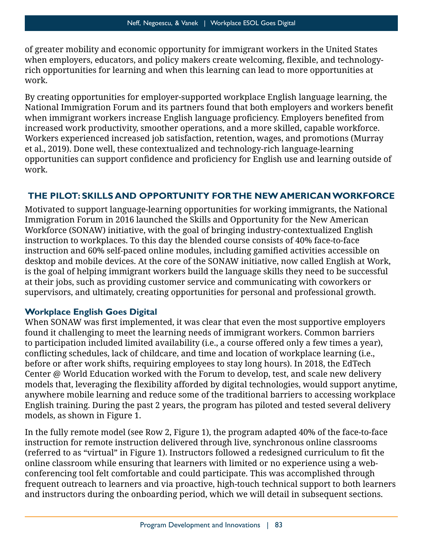when employers, educators, and policy makers create welcoming, flexible, and technologyof greater mobility and economic opportunity for immigrant workers in the United States rich opportunities for learning and when this learning can lead to more opportunities at work.

 National Immigration Forum and its partners found that both employers and workers benefit when immigrant workers increase English language proficiency. Employers benefited from Workers experienced increased job satisfaction, retention, wages, and promotions (Murray et al., 2019). Done well, these contextualized and technology-rich language-learning opportunities can support confidence and proficiency for English use and learning outside of By creating opportunities for employer-supported workplace English language learning, the increased work productivity, smoother operations, and a more skilled, capable workforce. work.

### **THE PILOT: SKILLS AND OPPORTUNITY FOR THE NEW AMERICAN WORKFORCE**

 Workforce (SONAW) initiative, with the goal of bringing industry-contextualized English instruction and 60% self-paced online modules, including gamified activities accessible on Motivated to support language-learning opportunities for working immigrants, the National Immigration Forum in 2016 launched the Skills and Opportunity for the New American instruction to workplaces. To this day the blended course consists of 40% face-to-face desktop and mobile devices. At the core of the SONAW initiative, now called English at Work, is the goal of helping immigrant workers build the language skills they need to be successful at their jobs, such as providing customer service and communicating with coworkers or supervisors, and ultimately, creating opportunities for personal and professional growth.

#### **Workplace English Goes Digital**

 When SONAW was first implemented, it was clear that even the most supportive employers conflicting schedules, lack of childcare, and time and location of workplace learning (i.e., models that, leveraging the flexibility afforded by digital technologies, would support anytime, found it challenging to meet the learning needs of immigrant workers. Common barriers to participation included limited availability (i.e., a course offered only a few times a year), before or after work shifts, requiring employees to stay long hours). In 2018, the EdTech Center @ World Education worked with the Forum to develop, test, and scale new delivery anywhere mobile learning and reduce some of the traditional barriers to accessing workplace English training. During the past 2 years, the program has piloted and tested several delivery models, as shown in Figure 1.

 (referred to as "virtual" in Figure 1). Instructors followed a redesigned curriculum to fit the online classroom while ensuring that learners with limited or no experience using a web-In the fully remote model (see Row 2, Figure 1), the program adapted 40% of the face-to-face instruction for remote instruction delivered through live, synchronous online classrooms conferencing tool felt comfortable and could participate. This was accomplished through frequent outreach to learners and via proactive, high-touch technical support to both learners and instructors during the onboarding period, which we will detail in subsequent sections.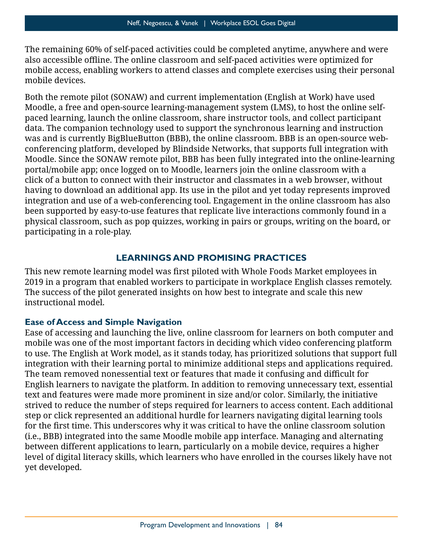also accessible offline. The online classroom and self-paced activities were optimized for mobile access, enabling workers to attend classes and complete exercises using their personal The remaining 60% of self-paced activities could be completed anytime, anywhere and were mobile devices.

Both the remote pilot (SONAW) and current implementation (English at Work) have used Moodle, a free and open-source learning-management system (LMS), to host the online selfpaced learning, launch the online classroom, share instructor tools, and collect participant data. The companion technology used to support the synchronous learning and instruction was and is currently BigBlueButton (BBB), the online classroom. BBB is an open-source webconferencing platform, developed by Blindside Networks, that supports full integration with Moodle. Since the SONAW remote pilot, BBB has been fully integrated into the online-learning portal/mobile app; once logged on to Moodle, learners join the online classroom with a click of a button to connect with their instructor and classmates in a web browser, without having to download an additional app. Its use in the pilot and yet today represents improved integration and use of a web-conferencing tool. Engagement in the online classroom has also been supported by easy-to-use features that replicate live interactions commonly found in a physical classroom, such as pop quizzes, working in pairs or groups, writing on the board, or participating in a role-play.

#### **LEARNINGS AND PROMISING PRACTICES**

 This new remote learning model was first piloted with Whole Foods Market employees in 2019 in a program that enabled workers to participate in workplace English classes remotely. The success of the pilot generated insights on how best to integrate and scale this new instructional model.

#### **Ease of Access and Simple Navigation**

 The team removed nonessential text or features that made it confusing and difficult for English learners to navigate the platform. In addition to removing unnecessary text, essential text and features were made more prominent in size and/or color. Similarly, the initiative for the first time. This underscores why it was critical to have the online classroom solution Ease of accessing and launching the live, online classroom for learners on both computer and mobile was one of the most important factors in deciding which video conferencing platform to use. The English at Work model, as it stands today, has prioritized solutions that support full integration with their learning portal to minimize additional steps and applications required. strived to reduce the number of steps required for learners to access content. Each additional step or click represented an additional hurdle for learners navigating digital learning tools (i.e., BBB) integrated into the same Moodle mobile app interface. Managing and alternating between different applications to learn, particularly on a mobile device, requires a higher level of digital literacy skills, which learners who have enrolled in the courses likely have not yet developed.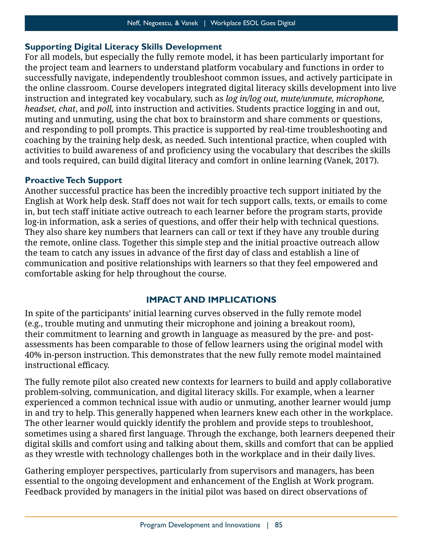#### **Supporting Digital Literacy Skills Development**

 muting and unmuting, using the chat box to brainstorm and share comments or questions, activities to build awareness of and proficiency using the vocabulary that describes the skills For all models, but especially the fully remote model, it has been particularly important for the project team and learners to understand platform vocabulary and functions in order to successfully navigate, independently troubleshoot common issues, and actively participate in the online classroom. Course developers integrated digital literacy skills development into live instruction and integrated key vocabulary, such as *log in/log out, mute/unmute, microphone, headset, chat*, and *poll,* into instruction and activities. Students practice logging in and out, and responding to poll prompts. This practice is supported by real-time troubleshooting and coaching by the training help desk, as needed. Such intentional practice, when coupled with and tools required, can build digital literacy and comfort in online learning (Vanek, 2017).

#### **Proactive Tech Support**

 English at Work help desk. Staff does not wait for tech support calls, texts, or emails to come They also share key numbers that learners can call or text if they have any trouble during the team to catch any issues in advance of the first day of class and establish a line of Another successful practice has been the incredibly proactive tech support initiated by the in, but tech staff initiate active outreach to each learner before the program starts, provide log-in information, ask a series of questions, and offer their help with technical questions. the remote, online class. Together this simple step and the initial proactive outreach allow communication and positive relationships with learners so that they feel empowered and comfortable asking for help throughout the course.

## **IMPACT AND IMPLICATIONS**

 instructional efficacy. In spite of the participants' initial learning curves observed in the fully remote model (e.g., trouble muting and unmuting their microphone and joining a breakout room), their commitment to learning and growth in language as measured by the pre- and postassessments has been comparable to those of fellow learners using the original model with 40% in-person instruction. This demonstrates that the new fully remote model maintained

 The fully remote pilot also created new contexts for learners to build and apply collaborative problem-solving, communication, and digital literacy skills. For example, when a learner experienced a common technical issue with audio or unmuting, another learner would jump sometimes using a shared first language. Through the exchange, both learners deepened their in and try to help. This generally happened when learners knew each other in the workplace. The other learner would quickly identify the problem and provide steps to troubleshoot, digital skills and comfort using and talking about them, skills and comfort that can be applied as they wrestle with technology challenges both in the workplace and in their daily lives.

Gathering employer perspectives, particularly from supervisors and managers, has been essential to the ongoing development and enhancement of the English at Work program. Feedback provided by managers in the initial pilot was based on direct observations of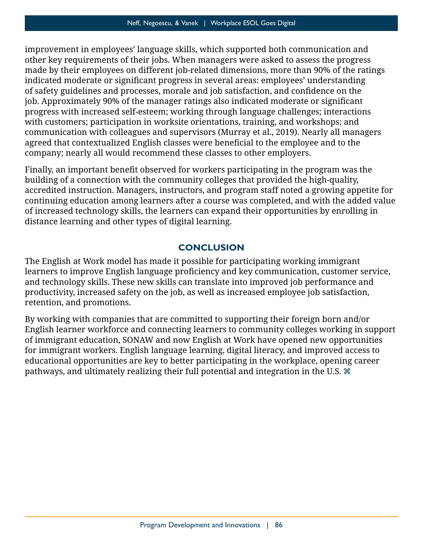indicated moderate or significant progress in several areas: employees' understanding of safety guidelines and processes, morale and job satisfaction, and confidence on the job. Approximately 90% of the manager ratings also indicated moderate or significant agreed that contextualized English classes were beneficial to the employee and to the improvement in employees' language skills, which supported both communication and other key requirements of their jobs. When managers were asked to assess the progress made by their employees on different job-related dimensions, more than 90% of the ratings progress with increased self-esteem; working through language challenges; interactions with customers; participation in worksite orientations, training, and workshops; and communication with colleagues and supervisors (Murray et al., 2019). Nearly all managers company; nearly all would recommend these classes to other employers.

 Finally, an important benefit observed for workers participating in the program was the of increased technology skills, the learners can expand their opportunities by enrolling in building of a connection with the community colleges that provided the high-quality, accredited instruction. Managers, instructors, and program staff noted a growing appetite for continuing education among learners after a course was completed, and with the added value distance learning and other types of digital learning.

#### **CONCLUSION**

 learners to improve English language proficiency and key communication, customer service, The English at Work model has made it possible for participating working immigrant and technology skills. These new skills can translate into improved job performance and productivity, increased safety on the job, as well as increased employee job satisfaction, retention, and promotions.

By working with companies that are committed to supporting their foreign born and/or English learner workforce and connecting learners to community colleges working in support of immigrant education, SONAW and now English at Work have opened new opportunities for immigrant workers. English language learning, digital literacy, and improved access to educational opportunities are key to better participating in the workplace, opening career pathways, and ultimately realizing their full potential and integration in the U.S.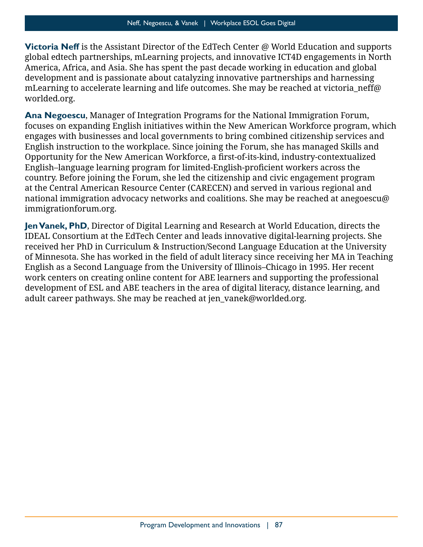**Victoria Neff** is the Assistant Director of the EdTech Center @ World Education and supports global edtech partnerships, mLearning projects, and innovative ICT4D engagements in North America, Africa, and Asia. She has spent the past decade working in education and global development and is passionate about catalyzing innovative partnerships and harnessing mLearning to accelerate learning and life outcomes. She may be reached at victoria neff@ [worlded.org.](mailto:victoria_neff@worlded.org)

 focuses on expanding English initiatives within the New American Workforce program, which Opportunity for the New American Workforce, a first-of-its-kind, industry-contextualized English–language learning program for limited-English-proficient workers across the **Ana Negoescu**, Manager of Integration Programs for the National Immigration Forum, engages with businesses and local governments to bring combined citizenship services and English instruction to the workplace. Since joining the Forum, she has managed Skills and country. Before joining the Forum, she led the citizenship and civic engagement program at the Central American Resource Center (CARECEN) and served in various regional and national immigration advocacy networks and coalitions. She may be reached at [anegoescu@](mailto:anegoescu@immigrationforum.org)  [immigrationforum.org.](mailto:anegoescu@immigrationforum.org)

 of Minnesota. She has worked in the field of adult literacy since receiving her MA in Teaching **Jen Vanek, PhD**, Director of Digital Learning and Research at World Education, directs the IDEAL Consortium at the EdTech Center and leads innovative digital-learning projects. She received her PhD in Curriculum & Instruction/Second Language Education at the University English as a Second Language from the University of Illinois–Chicago in 1995. Her recent work centers on creating online content for ABE learners and supporting the professional development of ESL and ABE teachers in the area of digital literacy, distance learning, and adult career pathways. She may be reached at [jen\\_vanek@worlded.org.](mailto:jen_vanek@worlded.org)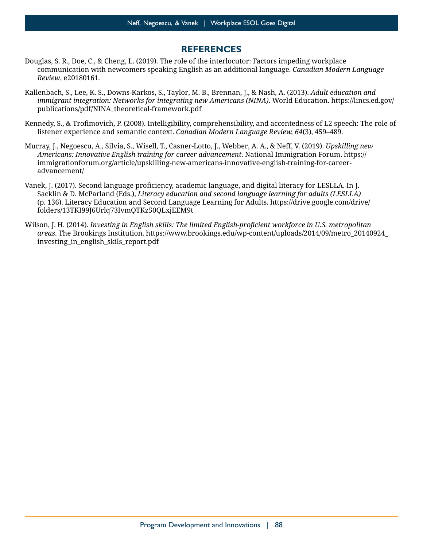#### **REFERENCES**

- Douglas, S. R., Doe, C., & Cheng, L. (2019). The role of the interlocutor: Factors impeding workplace communication with newcomers speaking English as an additional language. *Canadian Modern Language Review*, e20180161.
- Kallenbach, S., Lee, K. S., Downs-Karkos, S., Taylor, M. B., Brennan, J., & Nash, A. (2013). *Adult education and immigrant integration: Networks for integrating new Americans (NINA)*. World Education. [https://lincs.ed.gov/](https://lincs.ed.gov/publications/pdf/NINA_theoretical-framework.pdf)  [publications/pdf/NINA\\_theoretical-framework.pdf](https://lincs.ed.gov/publications/pdf/NINA_theoretical-framework.pdf)
- Kennedy, S., & Trofimovich, P. (2008). Intelligibility, comprehensibility, and accentedness of L2 speech: The role of listener experience and semantic context. *Canadian Modern Language Review, 64*(3), 459–489.
- Murray, J., Negoescu, A., Silvia, S., Wisell, T., Casner-Lotto, J., Webber, A. A., & Neff, V. (2019). *Upskilling new Americans: Innovative English training for career advancement*. National Immigration Forum. [https://](https://immigrationforum.org/article/upskilling-new-americans-innovative-english-training-for-career-advancement/)  [immigrationforum.org/article/upskilling-new-americans-innovative-english-training-for-career](https://immigrationforum.org/article/upskilling-new-americans-innovative-english-training-for-career-advancement/)[advancement/](https://immigrationforum.org/article/upskilling-new-americans-innovative-english-training-for-career-advancement/)
- Vanek, J. (2017). Second language proficiency, academic language, and digital literacy for LESLLA. In J. Sacklin & D. McParland (Eds.), *Literacy education and second language learning for adults (LESLLA)*  (p. 136). Literacy Education and Second Language Learning for Adults. [https://drive.google.com/drive/](https://drive.google.com/drive/folders/13TKI99J6Urlq73IvmQTKz50QLxjEEM9t)  [folders/13TKI99J6Urlq73IvmQTKz50QLxjEEM9t](https://drive.google.com/drive/folders/13TKI99J6Urlq73IvmQTKz50QLxjEEM9t)
- Wilson, J. H. (2014). *Investing in English skills: The limited English-proficient workforce in U.S. metropolitan areas*. The Brookings Institution. [https://www.brookings.edu/wp-content/uploads/2014/09/metro\\_20140924\\_](https://www.brookings.edu/wp-content/uploads/2014/09/metro_20140924_investing_in_english_skils_report.pdf)  [investing\\_in\\_english\\_skils\\_report.pdf](https://www.brookings.edu/wp-content/uploads/2014/09/metro_20140924_investing_in_english_skils_report.pdf)